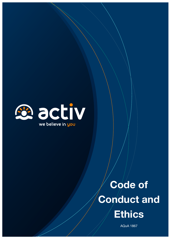

# Code of Conduct and **Ethics**

AQuA 1867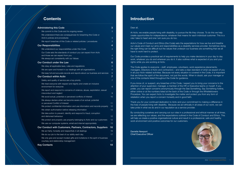| <b>Administering this Code</b>                                                                  | 3               |
|-------------------------------------------------------------------------------------------------|-----------------|
| We commit to this Code and its ongoing review                                                   | 3               |
| We understand there are consequences for breaching this Code or                                 |                 |
| Activ's policies and procedures                                                                 | 3               |
| We report breaches of this Code or related policies / procedures                                | 3               |
| <b>Our Responsibilities</b>                                                                     | 4               |
| We understand our responsibilities under this Code                                              | $\overline{4}$  |
| Our Code sets the standards of conduct you can expect from Activ                                |                 |
| and those we can expect from you                                                                | $\overline{4}$  |
| We always act consistently with our Values                                                      | $\overline{5}$  |
| Our Conduct under the Law                                                                       | $6\phantom{1}$  |
| We obey all applicable laws, rules and regulations                                              | $6\phantom{1}$  |
| We are open and honest in our dealings with all organisations                                   | 6               |
| We keep full and accurate records and reports about our business and services                   | 6               |
| <b>Our Conduct within Activ</b>                                                                 | $\overline{7}$  |
| Safety and quality of service are a top priority                                                | $\overline{7}$  |
| We treat everyone with respect and dignity and create an inclusive                              |                 |
| environment for everyone                                                                        | 8               |
| We report and respond to concerns of violence, abuse, exploitation, sexual                      |                 |
| misconduct and neglect                                                                          | 9               |
| We avoid actual, potential or perceived conflicts of interest                                   | 10              |
| We always declare when we become aware of an actual, potential                                  |                 |
| or perceived Conflict of Interest                                                               | $11$            |
| We protect confidential information and use information and records properly                    | 12              |
| We obtain authorisation before releasing information                                            | 13              |
| We take action to prevent, identify and respond to fraud, corruption<br>and dishonest behaviour | 12 <sub>2</sub> |
| We protect and properly use property belonging to Activ and our customers                       | 12              |
| We use our computer systems, email and internet appropriately                                   | 13              |
| Our Conduct with Customers, Partners, Contractors, Suppliers                                    | 16              |
| We act fairly, honestly and respectfully in all dealings                                        | 16              |
| We do our job to the best of our ability each day                                               | 17              |
| We only give and accept modest gifts and invitations in the spirit of business                  |                 |
| courtesy and relationship management                                                            | 17 <sup>°</sup> |
| <b>Key Contacts</b>                                                                             | 18              |

### **Contents Contents Introduction**

Thank you for your continued dedication to Activ and your commitment to making a difference in the lives of people living with disability. Because we act ethically in all areas of our work, we can take pride in what we do and in our reputation as a service provider.

#### Dear all,

At Activ, we enable people living with disability, to pursue the life they choose. To do this we help create opportunities for independence; whatever that means for each individual customer. This is a role I take to heart and one I am sure you do too.

Activ's Code of Conduct and Ethics (the Code) sets the expectations for how we live and breathe our values and meet our aims and responsibilities as a disability services provider. Sometimes doing the right thing can be difficult but the values that underpin our business are something that we all have to work hard to protect.

Our Code provides a practical set of requirements to help you make decisions in your day to day work, whatever you do and wherever you do it. It also outlines what is expected of you and your rights while you are working at Activ.

The Code applies to everyone – staff, employees, volunteers, work experience placements, managers, Directors of Activ and contractors – and sets a clear standard of what we expect of you in all your Activ-related activities. Because not every situation is covered in the Code, it is important that we follow the spirit of the document, not just the words. When in doubt, ask your manager or one of the contacts listed throughout the Code for guidance.

If you know of, or suspect, any breaches of this Code, I expect you to bring your concerns to the attention of your supervisor, manager, a member of the HR or Executive teams or myself. If you prefer, you can report concerns anonymously through the See Something, Say Something hotline, either online or at the numbers listed at the back of the Code or through the Whistleblowers Procedure. You can expect Activ to investigate the matter and protect you from any form of retaliation when you report a concern honestly and in good faith.

By conducting ourselves and carrying out our roles in a professional and ethical manner at all times, we are reflecting our values, and the expectations outlined in the Code of Conduct and Ethics. This will help us create a positive organisational culture and result in a professional, safe and healthy work environment and positive outcomes for our customers.

Danielle Newport Chief Executive Officer

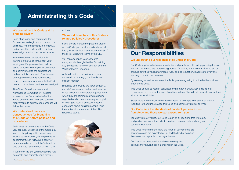#### We commit to this Code and its ongoing review

Each of us reads and commits to the Code when we begin work in or with our business. We are also required to review and accept this code and to maintain knowledge on what is expected at Activ.

You are expected to participate in training on the Code throughout your employment/appointment and will be asked to acknowledge your understanding and commitment to the expectations outlined in this document. Specific roles and appointments may have detailed requirements on how frequently the Code needs to be reviewed and reacknowledged.

#### We understand there are consequences for breaching this Code or Activ's policies and procedures

The Chair of the Governance and Nominations Committee will instigate a review of the Code on behalf of the Board on an annual basis and specific requirements to acknowledge changes will follow this review.

Activ takes its commitment to the Code very seriously. Breaches of the Code may lead to disciplinary action which may include termination of your employment/ appointment. Not following a policy or procedure referred to in this Code will be also be treated as a breach of this Code.

If you break the law you may also be held personally and criminally liable for your

#### We report breaches of this Code or related policies / procedures

If you identify a breach or potential breach of this Code, you must immediately report it to your supervisor, manager, a member of the HR or Executive teams or the CEO.

You can also report your concerns anonymously through the See Something Say Something hotline or you can use the Whistleblowers Procedure.

Activ will address any grievance, issue or concern in a thorough, confidential and efficient manner.

Breaches of the Code are taken seriously, and staff are assured that no victimisation or retribution will be tolerated against them when they are communicating a genuine organisational concern, making a complaint or helping to resolve an issue. Anyone concerned about retaliation should raise the matter with a member of the HR or Executive teams.





### Administrating this Code

#### We understand our responsibilities under this Code

Our Code applies to behaviours, activities and practices both during your day-to-day work and when you are representing Activ at functions, in the community and at out of hours activities which may impact Activ and its reputation. It applies to everyone working in or with our business.

By agreeing to work or volunteer for Activ, you are agreeing to abide by the spirit and letter of this Code.

This Code should be read in conjunction with other relevant Activ policies and procedures, as they might change from time to time. This will help you fully understand all your responsibilities.

Supervisors and managers must take all reasonable steps to ensure that anyone reporting to them understands this Code and complies with it at all times.

#### Our Code sets the standards of conduct you can expect from Activ and those we can expect from you

Together with our values, our Code is part of all decisions that we make, and guides how we act, conduct ourselves, communicate and carry out our work with Activ.

This Code helps us understand the kinds of activities that are appropriate and are expected of us, and the kind of activities that are not acceptable in our organisation.

Don't assume questionable activities are okay just because they haven't been mentioned in the Code.

### Our Responsibilities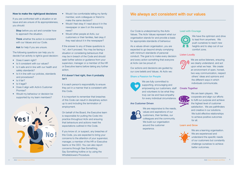#### How to make the right/good decisions

If you are confronted with a situation or an issue and are unsure of its appropriateness, you should:

Stop before you act and consider how to approach the situation.

Think whether the action is consistent with our Values and our Code.

Ask for help if you are unsure.

The following questions can help you to decide if an activity is right/a good decision:

- Does it seem right?
- Is it consistent with our values?
- Is it safe and in line with our health and safety standards?
- Is it in line with our policies, standards and procedures?
- Is it fair?
- Is it legal?
- Does it align with Activ's Customer Promise?
- Would my behaviour or decision be supported by my team members?



- Would I be comfortable telling my family member, work colleagues or friend to make the same decision?
- Would I feel okay if I read about it in the newspaper or saw it on the evening news?
- Would other people at Activ, our customers or their families, feel okay if they read about it in the newspaper?

It is each person's responsibility to ensure they act in a manner that is consistent with this Code.

If the answer to any of these questions is 'no', don't proceed. You may be facing a situation or considering behaviours that may be in breach of the Code and should seek further advice or guidance from your supervisor, manager or a member of the HR or Executive teams before taking any further action.

#### If it doesn't feel right, then it probably isn't

We are responsive to the needs, values and aspirations of our customers, their families, our colleagues and the community. We build our organisation around the customer experience.

It is important to remember that breaches of this Code can result in disciplinary action up to and including the termination of employment.

We have the optimism and drive to lead from anywhere. We push ourselves to reach new heights and to step out of our comfort zone.

On behalf of the Board, the Executive team is responsible for putting the Code into practice throughout Activ and ensuring that behaviours and actions meet the expectations outlined in this Code.

If you know of, or suspect, any breaches of this Code, you are expected to bring your concerns to the attention of your supervisor, manager, a member of the HR or Executive teams or the CEO. You can also report concerns through See Something, Say Something hotline or by using the Whistleblowers Procedure.

Our Code is underpinned by the Activ Values. The Activ Values represent what our organisation stands for and provide a basis for appropriate standards of behaviour.

As a values-driven organisation, you are expected to go beyond simply complying with minimum standards of personal conduct. The goal is to make every decision and every action something that everyone at Activ can be proud of.

Our actions and decisions are guided by our core beliefs and Values. At Activ we:

#### Share a Passion for People

We are fully committed to supporting, encouraging and empowering our customers, staff and volunteers to be what they truly can be and have empathy for every individual circumstance.

#### Are Customer Driven



#### Lead with Courage



#### Listen Loudly



We are active listeners, ensuring we clearly understand, and act upon what we hear. We create an environment of open, honest, two-way communication, respect others' ideas and opinions and the different ways in which individuals communicate.

#### Create Together



We are team players. We cooperate and align our efforts to fulfil our purpose and achieve the highest level of customer satisfaction. We are pathfinders and creative in our solutions. We build effective relationships to achieve positive outcomes for all.

#### Learn and Grow



We are a learning organisation. We are experienced and understand the specific needs of our customers but constantly challenge ourselves to achieve better outcomes.

### We always act consistent with our values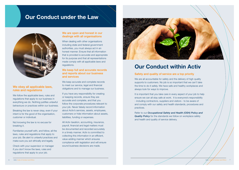### Our Conduct under the Law



#### We obey all applicable laws, rules and regulations

We follow the applicable laws, rules and regulations that apply to our business in everything we do. Nothing justifies unlawful behaviours or practices within our business.

Breaking the law is never okay, even if your intent is for the good of the organisation, customer or individual.

Not knowing the law is no excuse for breaking it.

Familiarise yourself with, and follow, all the laws, rules and regulations that apply to your job. Be alert to unlawful practices and make sure you act ethically and legally.

Check with your supervisor or manager if you don't know the laws, rules and regulations that apply to your job.

#### We are open and honest in our dealings with all organisations

When dealing with other organisations including state and federal government authorities, you must always act in an honest manner. Ensure that all information that is provided is accurate and appropriate for its purpose and that all representations made comply with all applicable laws and regulations.

#### We keep full and accurate records and reports about our business and services

We keep accurate and complete records to meet our service, legal and financial obligations and to manage our business.

If you have any responsibility for creating or keeping records, ensure they are accurate and complete, and that you follow the corporate procedures relevant to your job. Never falsely record information about Activ's services, assets, employees, customers or hide information about assets, liabilities, funding or expenses.

All Activ taxation, accounting, insurance, payroll, financial and legal matters must be documented and recorded accurately in a timely manner. Activ is committed to collecting this information in an efficient, value-adding manner which ensures compliance with legislation and will ensure sound business decisions are made.



## Our Conduct within Activ

### Safety and quality of service are a top priority

We are all accountable for safety and the delivery of high quality supports to customers. No job is so important that we can't take the time to do it safely. We have safe and healthy workplaces and always look for ways to improve.

It is important that you take care in every aspect of your job to help ensure we can all stay safe at work. It is everyone's responsibility - including contractors, suppliers and visitors - to be aware of and comply with our safety and health standards, procedures and practices.

Refer to our *Occupational Safety and Health (OSH) Policy and*  **Quality Policy** for the standards we follow on workplace safety and health and quality of service delivery.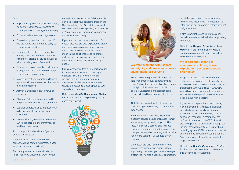#### Do:

- Report any injuries to staff or customers, incidents, near misses or hazards to your supervisor or manager immediately.
- Follow all safety rules and regulations.
- Ensure that you only come to work if you are fit and well enough to carry out your full responsibilities.
- Contribute to a safe environment by making sure you are never under the influence of alcohol or drugs at work or when travelling to and from work.
- Conduct risk assessments on all new or changed activities to ensure you keep yourself and customers safe.
- Make sure that you complete all formal reports or documentation required within the set timeframes.
- Actively participate in any reviews of incidents.
- Give your full commitment and skill to the provision of supports to customers.
- Look for opportunities to increase your skills and knowledge in supporting customers.
- Use our Employee Assistance Program (EAP); it is part of our commitment to health and wellbeing.

Ask for support and guidance if you are unsure of what to do.

If you consider a task unsafe or see someone doing something unsafe, please stop and report it immediately.

#### We treat everyone with respect and dignity and create an inclusive environment for everyone

Report any actual or potential safety or health risks you discover at work to your

supervisor, manager or the OSH team. You can also report your concerns through the See Something, Say Something hotline if you're uncomfortable speaking to someone at Activ directly, or if you wish to report your concerns anonymously.

If you are in a role that supports Activ's customers, you are also expected to create and maintain a safe environment for our customers. In some instances, this will mean taking additional steps to ensure children in your care are provided with an environment that is safe for their unique needs.

It is also important that all support provided to customers is delivered to the highest standard. This is a key commitment we give to our customers, so if you are unsure of whether a service meets quality expectations please speak to your supervisor or manager.

Refer to our *Quality Management System*  for more information on providing quality customer support.





We all have the right to work in a place that encourages equal opportunity and doesn't allow for discrimination, harassment or bullying. This means we must all cooperate, understand and respect each other and the differences we bring to our work.

At Activ, our commitment is to enabling people living with disability to pursue the life they choose.

You must treat others fairly, regardless of disability, gender, sexual orientation, family status, pregnancy, family responsibilities, race, impairment, political and religious conviction, and age or gender history. The principles of equal opportunity and inclusion need to be upheld in all aspects of our business.

Our customers also have the right to be treated with respect and dignity. When supporting customers you must ensure you protect their right to freedom of expression,

self-determination and decision-making lawfully. This means that it is important to listen and let our customers determine what is right for them.

It also important to ensure professional boundaries are maintained when supporting customers.

Refer to our *Respect in the Workplace*  **Policy** for more information on what to do to create a respectful and supportive environment for everyone.

#### We report and respond to concerns of violence, abuse, exploitation, sexual misconduct and neglect

People living with a disability are more likely to be the victims of violence, abuse, exploitation, sexual misconduct and neglect than people without a disability. At Activ, you will play an important role in creating a supportive and respectful environment for people living with disability.

If you see or suspect that a customer is, or may be a victim of violence, exploitation, sexual misconduct or abuse, you are required to report it immediately to your supervisor, manager, a member of the HR or Executive teams or the CEO. It must also be reported as an incident through our incident management Quality Safety Risk reporting system (QSR). You can also report your concerns through the See Something, Say Something hotline after an incident is lodged in the QSR.

Refer to our *Quality Management System* for the standards we follow to deliver safe, quality services to customers.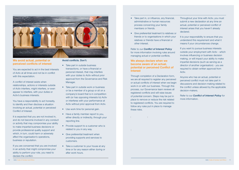- Take part in, or influence, any financial, administrative or human resources process concerning your family members or friends.
- Give preferential treatment to relatives or friends or to organisations in which your relatives or friends have a financial or other interest.

Refer to our *Conflict of Interest Policy*  for more information involving rules around managing actual or potential conflicts.

#### We always declare when we become aware of an actual, potential or perceived Conflict of Interest

Through completion of a Declaration form, we are all required to register any perceived or actual conflicts of interest when we begin work in or with our business. Through this process, our Governance team reviews all registered conflicts and will raise issues of potential concern. Steps may be put in place to remove or reduce the risk related to registered conflicts. You are required to follow any rules put in place to manage these risks.

Throughout your time with Activ, you must submit a new declaration at any time an actual, potential or perceived conflict of interest arises that you haven't already declared.

It is your responsibility to ensure that you understand this requirement and what it means if your circumstances change.

If you want to pursue business interests outside your employment with Activ - which involves influencing or business decision making, or will impact your ability to make impartial decisions (such as serving as a director of another organisation) - you are required to obtain written approval from Activ.

Anyone who has an actual, potential or perceived conflict must not take part in discussions and decision-making related to the conflict unless allowed by the applicable decision-makers.

Refer to our *Conflict of Interest Policy* for more information.

- Take part in outside business transactions, or have a financial or personal interest, that may interfere with your duties to Activ without prior approval from the Governance and Risk Manager.
- Take part in outside work or business or be a member of a group or sit on a company's board that is in competition with (or has opposing interests to) Activ or interferes with your performance at Activ without prior approval from Activ.
- Use work time for personal gain.
- Have a family member report to you, either directly or indirectly, through your reporting line.
- Provide support to a customer who is related to you in any way.
- Give preferential treatment when providing supports and services to customers.
- Take a customer to your house at any time or for any reason either during or after work hours.

10 Activ Code of Conduct and Ethics



We avoid actual, potential or perceived conflicts of interest

You are expected to act in the best interests of Activ at all times and not be in conflict with this expectation.

A conflict of interest exists when relationships, actions or interests outside of Activ interfere, might interfere, or even appear to interfere, with your duties or Activ's business interests.

You have a responsibility to act honestly, to identify and then disclose a situation involving an actual, potential or perceived Conflict of Interest.

It is expected that you are not involved in, and do not become involved in any conduct or activity that may compromise your ability to make impartial business decisions or provide professional quality support and which, in turn, could harm or adversely affect the organisation's operations, business or reputation.

If you are concerned that you are involved in an activity that might compromise your ability to perform your role, you need to declare the conflict.

Avoid conflicts. Don't: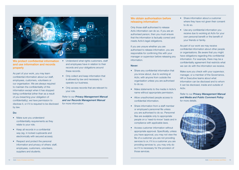#### We obtain authorisation before releasing information

Only those staff authorised to release Activ information can do so. If you are an authorised person, then you must ensure that the information is factually correct and meets Activ's legal obligations.

If you are unsure whether you are authorised to release information, you are responsible for confirming this with your manager or supervisor before releasing any information.

#### Never:

- Share information about a customer where they have not given their consent to do so.
- Use any confidential information you receive due to working at Activ for your own personal benefit or the benefit of your friends or family.

- Share any confidential information that you know about, due to working at Activ, with anyone from outside the organisation unless you are authorised to do so.
- Make statements to the media in Activ's name without appropriate permission.
- Allow unauthorised people access to confidential information.
- Share information from a staff member or employee's personnel file unless you are authorised to do so. Personnel
- files are available only to appropriate people on a 'need-to-know' basis and in compliance with applicable laws.
- Access customer information without appropriate approval. Specifically, unless you have approval, you may not view the file of a customer you are not providing services to or, if it is a customer you are providing services to, you may only do so if it is necessary for the provision of those services.
- Make sure you understand confidentiality requirements as they relate to your role.
- Keep all records in a confidential way (eg. in locked cupboards and electronically with secured access).
- Respect and protect the personal information and privacy of others: staff, employees, customers, volunteers, suppliers and students.
- We protect confidential information . Understand what rights customers, staff and employees have in relation to their records and your obligations around these records.
	- Only collect and keep information that is allowed by law and necessary to operate our business.
	- Only access records that are relevant to your role.

As part of our work we may receive confidential information about other people or organisations. Be aware that you might have obligations regarding this confidential information. For example, there may be a confidentiality agreement that restricts what we can do with the information we receive.

Make sure you check with your supervisor, manager, or a member of the Governance, HR or Executive teams about what information can be disclosed and to whom it can be disclosed, inside and outside of Activ.

Refer to our *Privacy Management Manual and Media and Public Comment Policy*  for more details.





### and use information and records properly

As part of your work, you may learn confidential information about our staff, employees, customers, volunteers or our organisation. We are always required to maintain the confidentiality of this information except when it has stopped being confidential (other than as a result of you breaching your obligation of confidentiality), we have permission to disclose it, or if it is required to be disclosed by law.

#### Do:

Refer to our *Privacy Management Manual and our Records Management Manual*  for more information.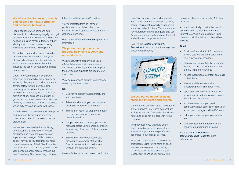#### We take action to prevent, identify and respond to fraud, corruption and dishonest behaviour

Fraud happens when someone acts dishonestly to make money illegally or to get an unfair advantage. Examples of dishonest behaviour include stealing, forgery, bribery, identity theft, misuse of assets, taking kickbacks and making false reports.

Corruption occurs when there is an offer, or acceptance, or provision, of anything of value, directly or indirectly, to influence action or inaction, where without this influence the action or inaction would not normally occur.

Under no circumstances may anyone employed or engaged at Activ directly or indirectly offer, request, provide or accept any monetary reward, services, gifts, hospitality, entertainment, products or any other similar items, for the receipt or provision of any business information or guidance, or contract award or amendment, from any organisation, or their employees, which may have an affiliation with Activ.

At Activ we do not tolerate fraud, corruption and dishonest behaviour in any form towards anyone within or external to, our organisation.

We are each responsible for identifying and preventing this behaviour. Report any suspected such behaviour to your supervisor or manager. If this creates a conflict for you or you feel uncomfortable, contact a member of the HR or Executive teams including the CEO, or you can report your concerns anonymously through the See Something, Say Something hotline or

**Procedure** to ensure correct management of Customer Property.



follow the Whistleblowers Procedure.

You're protected from any form of punishment or retaliation when you honestly report suspected cases of fraud or dishonest behaviour.

Refer to our *Whistleblower Policy* for more information.

#### We protect and properly use property belonging to Activ and our customers

company policies and never bring Activ into disrepute.

We protect Activ's property and use it efficiently because theft, carelessness and waste can damage Activ and impact the service and supports provided to our customers.

We also protect and properly use property owned by our customers.

#### Do:

- Use Activ's property appropriately and with permission.
- Take care whenever you use property belonging to Activ or a customer.
- Immediately report all property damage to your supervisor or manager, no matter how minor.
- Get permission from your supervisor or manager before using company property for anything other than official company business.
- Immediately notify your supervisor, manager or a member of the HR or Executives teams if you notice any unusual or suspicious activity.

We use Activ's assets and resources for the

benefit of our customers and organisation. If you have control of or access to, funds, assets, equipment, property or goods, you are accountable for them. This means you have a responsibility to safeguard and use Activ's property properly and use it correctly and with the appropriate authority.

#### Refer to the *Customer Property*

#### We use our computer systems, email and internet appropriately

Our computer systems, email, and internet are for business use. Some personal use is okay as long as it's outside of business hours and does not interfere with Activ's business.

The information you view and share – whether for business or personal use – must be appropriate, respectful and according to our rules at all times.

When using social media on behalf of the organisation, using Activ's name on social media or accessing and commenting on Activ's social media pages, it is your responsibility to ensure you comply with

Activ will periodically monitor the use of systems, email, social media and the internet to ensure systems remain up to date and that all activity complies with our policies.

#### Don't:

- Email confidential Activ information to anyone else without permission from your supervisor or manager.
- Share or access confidential information relating to staff or customers that isn't directly related to your role.
- Access inappropriate content on emails or the internet.
- Misuse social media or make disparaging comments about Activ.
- Open emails or clink on links that look suspicious – if in doubt please contact the ICT team for advice.
- Install software onto your work computer without permission from your supervisor/ manager and the ICT team.
- Let anyone else use your password at work.
- Take any action that undermines the integrity of our data and systems.

Refer to our *ICT Electronic Communications Policy* for more information.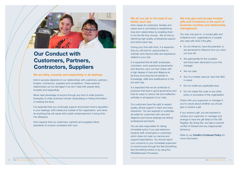#### We do our job to the best of our ability each day

Activ values its customers, families and carers and is committed to establishing long term relationships by enabling them to live the life they choose. We do this by delivering high quality, professional support and advice each day.

During your time with Activ, it is expected that you will look for opportunities to maintain and improve skills and experience related to your role.

It is expected that all staff, employees, volunteers, work experience placements and directors carry out their duties with a high degree of care and diligence at all times and bring the full benefit of knowledge, skills and qualifications to the job each day.

It is expected that we all contribute to practices that lead to good governance and look for ways to reduce risk and ineffective activities in all aspects of our roles.

Our customers have the right to expect quality, ethical support in each and every interaction. You are required to undertake all duties for customers with care and diligence and ensure dealings are ethical, professional and lawful.

You are also responsible for taking immediate action if you see behaviour towards staff, employees or customers which does not meet our service and support expectations. You should report your concerns to your immediate supervisor or anonymously through the See Something Say Something hotline or by using the Whistleblowers Procedure.

#### We only give and accept modest gifts and invitations in the spirit of business courtesy and relationship management

You may only give to, or accept gifts and invitations from, organisations or people who deal with Activ if the gifts:

- Do not influence, have the potential, or are perceived to influence how you carry out your job
- Are appropriate for the occasion and have been disclosed to your line manager
- Are not cash
- Are of a modest value (ie. less than \$50 in value)
- Do not violate any applicable laws
- Do not violate this code or any other policy or procedure of the organisation.

Check with your supervisor or manager if you're unsure about whether you should give or receive a gift.

If you receive a gift, you are required to contact your supervisor or manager and arrange to have the gift listed on the Gift Register. By doing this, we help to prevent conflict of interest and any inappropriate behaviour.

Refer to our *Conflict of Interest Policy* for more information.

Activ's success depends on our relationships with customers, partners, funders, contractors, suppliers and competitors. These external relationships can be damaged if we don't deal with people fairly, honestly and respectfully.

Never take advantage of anyone through any kind of unfair practice. Examples of unfair practices include manipulating or hiding information or twisting the facts.

It is expected that you continually support and protect Activ's reputation in your dealings, both inside and outside of the organisation, and never do anything that will cause Activ public embarrassment or bring Activ into disrepute.

Activ expects that our customers, partners and suppliers follow standards of conduct consistent with ours.



## Our Conduct with Customers, Partners, Contractors, Suppliers

#### We act fairly, honestly and respectfully in all dealings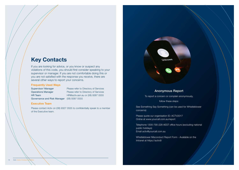### Anonymous Report

To report a concern or complain anonymously,

follow these steps:

See Something Say Something (can be used for Whistleblower concerns)

Please quote our organisation ID: ACTV2017 Online at www.yourcall.com.au/report

Telephone 1300-790-228 AEST office hours (excluding national public holidays) Email activ@yourcall.com.au

Whistleblower Misconduct Report Form - Available on the Intranet at https://activ8/

Supervisor/ Manager Please refer to Directory of Services Operations Manager Please refer to Directory of Services HR Team HR@activ.asn.au or (08) 9387 0555

If you are looking for advice, or you know or suspect any violations of this code, you should first consider speaking to your supervisor or manager. If you are not comfortable doing this or you are not satisfied with the response you receive, there are several other ways to report your concerns.

#### Frequently Used Ways

Governance and Risk Manager (08) 9387 0555

#### Executive Team

Please contact Activ on (08) 9327 0555 to confidentially speak to a member of the Executive team.



### Key Contacts